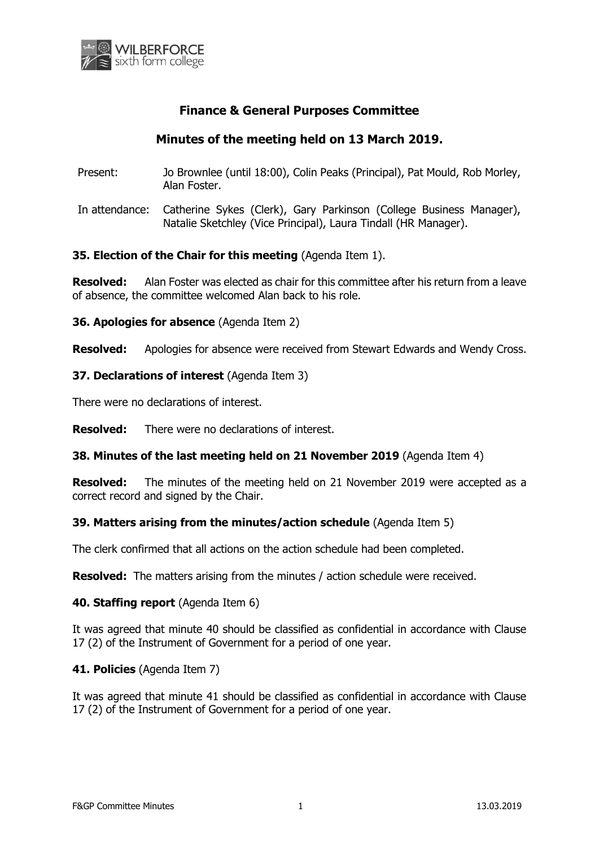

# **Finance & General Purposes Committee**

# **Minutes of the meeting held on 13 March 2019.**

- Present: Jo Brownlee (until 18:00), Colin Peaks (Principal), Pat Mould, Rob Morley, Alan Foster.
- In attendance: Catherine Sykes (Clerk), Gary Parkinson (College Business Manager), Natalie Sketchley (Vice Principal), Laura Tindall (HR Manager).

### **35. Election of the Chair for this meeting** (Agenda Item 1).

**Resolved:** Alan Foster was elected as chair for this committee after his return from a leave of absence, the committee welcomed Alan back to his role.

**36. Apologies for absence** (Agenda Item 2)

**Resolved:** Apologies for absence were received from Stewart Edwards and Wendy Cross.

#### **37. Declarations of interest** (Agenda Item 3)

There were no declarations of interest.

**Resolved:** There were no declarations of interest.

#### **38. Minutes of the last meeting held on 21 November 2019** (Agenda Item 4)

**Resolved:** The minutes of the meeting held on 21 November 2019 were accepted as a correct record and signed by the Chair.

### **39. Matters arising from the minutes/action schedule** (Agenda Item 5)

The clerk confirmed that all actions on the action schedule had been completed.

**Resolved:** The matters arising from the minutes / action schedule were received.

#### **40. Staffing report** (Agenda Item 6)

It was agreed that minute 40 should be classified as confidential in accordance with Clause 17 (2) of the Instrument of Government for a period of one year.

### **41. Policies** (Agenda Item 7)

It was agreed that minute 41 should be classified as confidential in accordance with Clause 17 (2) of the Instrument of Government for a period of one year.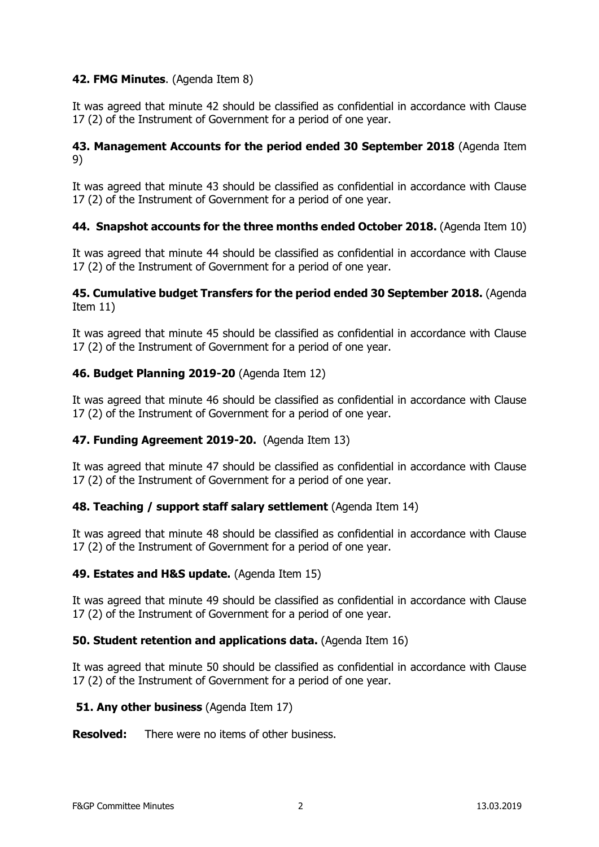# **42. FMG Minutes**. (Agenda Item 8)

It was agreed that minute 42 should be classified as confidential in accordance with Clause 17 (2) of the Instrument of Government for a period of one year.

## **43. Management Accounts for the period ended 30 September 2018** (Agenda Item 9)

It was agreed that minute 43 should be classified as confidential in accordance with Clause 17 (2) of the Instrument of Government for a period of one year.

## **44. Snapshot accounts for the three months ended October 2018.** (Agenda Item 10)

It was agreed that minute 44 should be classified as confidential in accordance with Clause 17 (2) of the Instrument of Government for a period of one year.

### **45. Cumulative budget Transfers for the period ended 30 September 2018.** (Agenda Item 11)

It was agreed that minute 45 should be classified as confidential in accordance with Clause 17 (2) of the Instrument of Government for a period of one year.

## **46. Budget Planning 2019-20** (Agenda Item 12)

It was agreed that minute 46 should be classified as confidential in accordance with Clause 17 (2) of the Instrument of Government for a period of one year.

### **47. Funding Agreement 2019-20.** (Agenda Item 13)

It was agreed that minute 47 should be classified as confidential in accordance with Clause 17 (2) of the Instrument of Government for a period of one year.

### **48. Teaching / support staff salary settlement** (Agenda Item 14)

It was agreed that minute 48 should be classified as confidential in accordance with Clause 17 (2) of the Instrument of Government for a period of one year.

### **49. Estates and H&S update.** (Agenda Item 15)

It was agreed that minute 49 should be classified as confidential in accordance with Clause 17 (2) of the Instrument of Government for a period of one year.

### **50. Student retention and applications data.** (Agenda Item 16)

It was agreed that minute 50 should be classified as confidential in accordance with Clause 17 (2) of the Instrument of Government for a period of one year.

### **51. Any other business (Agenda Item 17)**

**Resolved:** There were no items of other business.